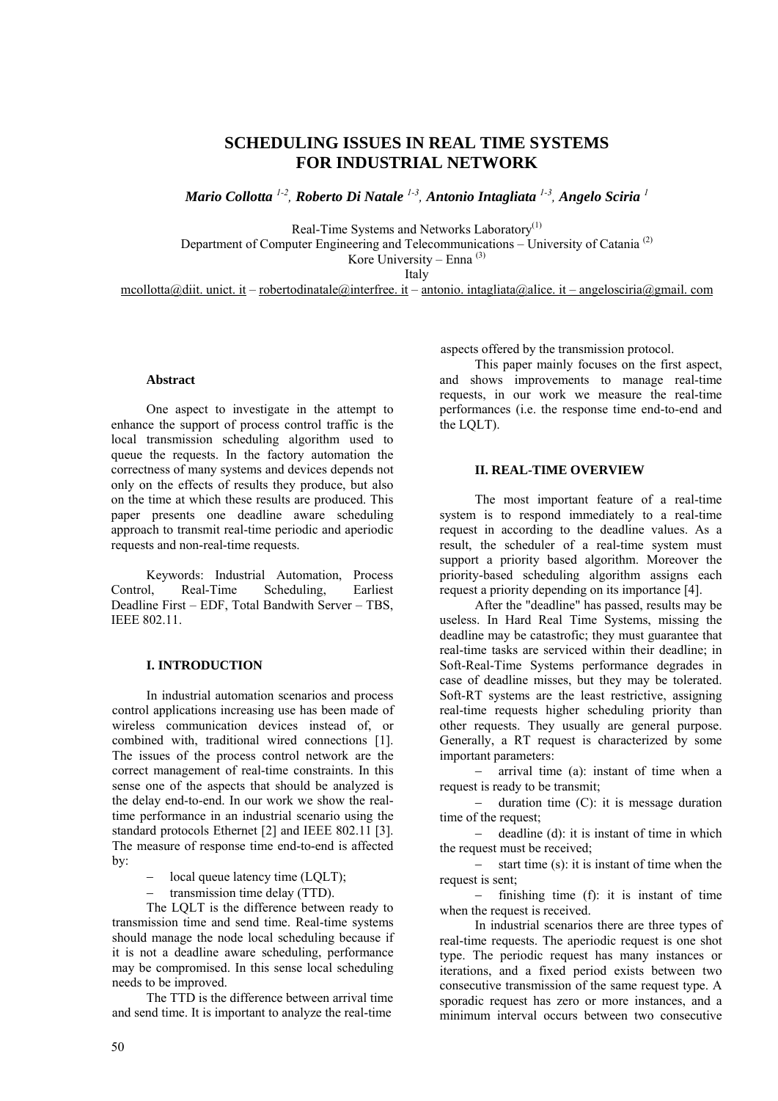# **SCHEDULING ISSUES IN REAL TIME SYSTEMS FOR INDUSTRIAL NETWORK**

*Mario Collotta 1-2, Roberto Di Natale 1-3, Antonio Intagliata 1-3, Angelo Sciria <sup>1</sup>*

Real-Time Systems and Networks Laboratory<sup>(1)</sup>

Department of Computer Engineering and Telecommunications – University of Catania (2)

Kore University – Enna  $(3)$ 

Italy

mcollotta@diit. unict. it – robertodinatale@interfree. it – antonio. intagliata@alice. it – angelosciria@gmail. com

## **Abstract**

One aspect to investigate in the attempt to enhance the support of process control traffic is the local transmission scheduling algorithm used to queue the requests. In the factory automation the correctness of many systems and devices depends not only on the effects of results they produce, but also on the time at which these results are produced. This paper presents one deadline aware scheduling approach to transmit real-time periodic and aperiodic requests and non-real-time requests.

Keywords: Industrial Automation, Process Control, Real-Time Scheduling, Earliest Deadline First – EDF, Total Bandwith Server – TBS, IEEE 802.11.

## **I. INTRODUCTION**

In industrial automation scenarios and process control applications increasing use has been made of wireless communication devices instead of, or combined with, traditional wired connections [1]. The issues of the process control network are the correct management of real-time constraints. In this sense one of the aspects that should be analyzed is the delay end-to-end. In our work we show the realtime performance in an industrial scenario using the standard protocols Ethernet [2] and IEEE 802.11 [3]. The measure of response time end-to-end is affected by:

- − local queue latency time (LQLT);
- transmission time delay (TTD).

The LQLT is the difference between ready to transmission time and send time. Real-time systems should manage the node local scheduling because if it is not a deadline aware scheduling, performance may be compromised. In this sense local scheduling needs to be improved.

The TTD is the difference between arrival time and send time. It is important to analyze the real-time

aspects offered by the transmission protocol.

This paper mainly focuses on the first aspect, and shows improvements to manage real-time requests, in our work we measure the real-time performances (i.e. the response time end-to-end and the LQLT).

## **II. REAL-TIME OVERVIEW**

The most important feature of a real-time system is to respond immediately to a real-time request in according to the deadline values. As a result, the scheduler of a real-time system must support a priority based algorithm. Moreover the priority-based scheduling algorithm assigns each request a priority depending on its importance [4].

After the "deadline" has passed, results may be useless. In Hard Real Time Systems, missing the deadline may be catastrofic; they must guarantee that real-time tasks are serviced within their deadline; in Soft-Real-Time Systems performance degrades in case of deadline misses, but they may be tolerated. Soft-RT systems are the least restrictive, assigning real-time requests higher scheduling priority than other requests. They usually are general purpose. Generally, a RT request is characterized by some important parameters:

arrival time (a): instant of time when a request is ready to be transmit;

− duration time (C): it is message duration time of the request;

− deadline (d): it is instant of time in which the request must be received;

− start time (s): it is instant of time when the request is sent;

− finishing time (f): it is instant of time when the request is received.

In industrial scenarios there are three types of real-time requests. The aperiodic request is one shot type. The periodic request has many instances or iterations, and a fixed period exists between two consecutive transmission of the same request type. A sporadic request has zero or more instances, and a minimum interval occurs between two consecutive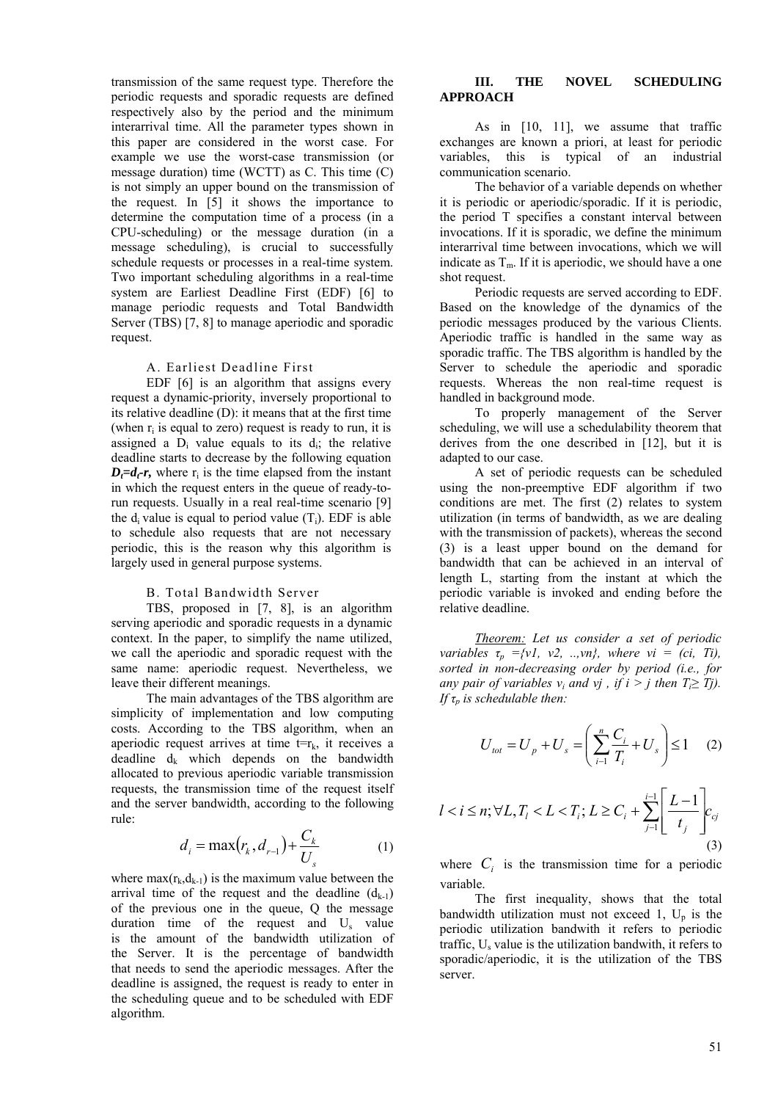transmission of the same request type. Therefore the periodic requests and sporadic requests are defined respectively also by the period and the minimum interarrival time. All the parameter types shown in this paper are considered in the worst case. For example we use the worst-case transmission (or message duration) time (WCTT) as С. This time (C) is not simply an upper bound on the transmission of the request. In [5] it shows the importance to determine the computation time of a process (in a CPU-scheduling) or the message duration (in a message scheduling), is crucial to successfully schedule requests or processes in a real-time system. Two important scheduling algorithms in a real-time system are Earliest Deadline First (EDF) [6] to manage periodic requests and Total Bandwidth Server (TBS) [7, 8] to manage aperiodic and sporadic request.

#### A. Earliest Deadline First

EDF [6] is an algorithm that assigns every request a dynamic-priority, inversely proportional to its relative deadline (D): it means that at the first time (when  $r_i$  is equal to zero) request is ready to run, it is assigned a  $D_i$  value equals to its  $d_i$ ; the relative deadline starts to decrease by the following equation  $D_t=d_t-r$ , where  $r_i$  is the time elapsed from the instant in which the request enters in the queue of ready-torun requests. Usually in a real real-time scenario [9] the  $d_i$  value is equal to period value  $(T_i)$ . EDF is able to schedule also requests that are not necessary periodic, this is the reason why this algorithm is largely used in general purpose systems.

#### B. Total Bandwidth Server

TBS, proposed in [7, 8], is an algorithm serving aperiodic and sporadic requests in a dynamic context. In the paper, to simplify the name utilized, we call the aperiodic and sporadic request with the same name: aperiodic request. Nevertheless, we leave their different meanings.

The main advantages of the TBS algorithm are simplicity of implementation and low computing costs. According to the TBS algorithm, when an aperiodic request arrives at time  $t=r_k$ , it receives a deadline  $d_k$  which depends on the bandwidth allocated to previous aperiodic variable transmission requests, the transmission time of the request itself and the server bandwidth, according to the following rule:

$$
d_{i} = \max(r_{k}, d_{r-1}) + \frac{C_{k}}{U_{s}}
$$
 (1)

where  $max(r_k, d_{k-1})$  is the maximum value between the arrival time of the request and the deadline  $(d_{k-1})$ of the previous one in the queue, Q the message duration time of the request and  $U_s$  value is the amount of the bandwidth utilization of the Server. It is the percentage of bandwidth that needs to send the aperiodic messages. After the deadline is assigned, the request is ready to enter in the scheduling queue and to be scheduled with EDF algorithm.

## **III. THE NOVEL SCHEDULING APPROACH**

As in [10, 11], we assume that traffic exchanges are known a priori, at least for periodic variables, this is typical of an industrial communication scenario.

The behavior of a variable depends on whether it is periodic or aperiodic/sporadic. If it is periodic, the period T specifies a constant interval between invocations. If it is sporadic, we define the minimum interarrival time between invocations, which we will indicate as  $T_m$ . If it is aperiodic, we should have a one shot request.

Periodic requests are served according to EDF. Based on the knowledge of the dynamics of the periodic messages produced by the various Clients. Aperiodic traffic is handled in the same way as sporadic traffic. The TBS algorithm is handled by the Server to schedule the aperiodic and sporadic requests. Whereas the non real-time request is handled in background mode.

To properly management of the Server scheduling, we will use a schedulability theorem that derives from the one described in [12], but it is adapted to our case.

A set of periodic requests can be scheduled using the non-preemptive EDF algorithm if two conditions are met. The first (2) relates to system utilization (in terms of bandwidth, as we are dealing with the transmission of packets), whereas the second (3) is a least upper bound on the demand for bandwidth that can be achieved in an interval of length L, starting from the instant at which the periodic variable is invoked and ending before the relative deadline.

*Theorem: Let us consider a set of periodic variables*  $\tau_p = \{v1, v2, ..., vn\}$ , where  $vi = (ci, Ti)$ , *sorted in non-decreasing order by period (i.e., for any pair of variables v<sub>i</sub> and vi, if*  $i > j$  *then*  $T_i \geq T_j$ *). If τp is schedulable then:* 

$$
U_{\text{tot}} = U_p + U_s = \left(\sum_{i=1}^n \frac{C_i}{T_i} + U_s\right) \le 1 \quad (2)
$$

$$
l < i \leq n; \forall L, T_l < L < T_i; L \geq C_i + \sum_{j=1}^{i-1} \left[ \frac{L-1}{t_j} \right] c_{cj} \tag{3}
$$

where  $C_i$  is the transmission time for a periodic variable.

The first inequality, shows that the total bandwidth utilization must not exceed 1,  $U_p$  is the periodic utilization bandwith it refers to periodic traffic,  $U_s$  value is the utilization bandwith, it refers to sporadic/aperiodic, it is the utilization of the TBS server.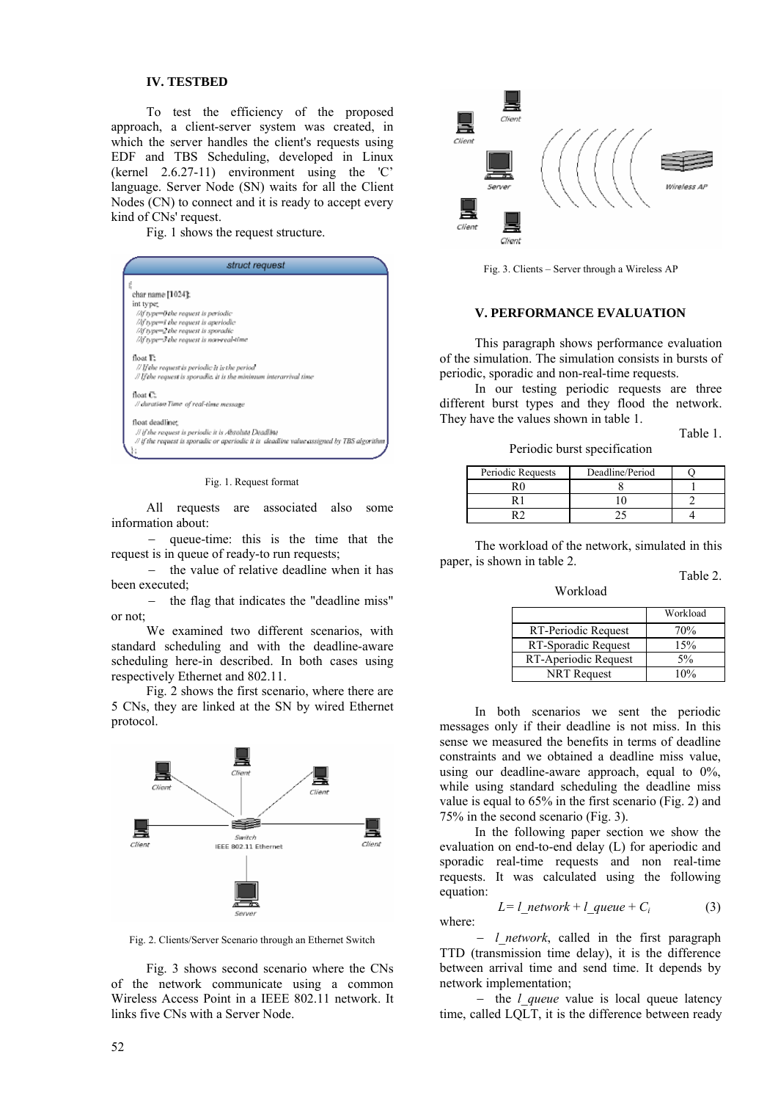## **IV. TESTBED**

To test the efficiency of the proposed approach, a client-server system was created, in which the server handles the client's requests using EDF and TBS Scheduling, developed in Linux (kernel 2.6.27-11) environment using the 'C' language. Server Node (SN) waits for all the Client Nodes (CN) to connect and it is ready to accept every kind of CNs' request.

Fig. 1 shows the request structure.



Fig. 1. Request format

All requests are associated also some information about:

− queue-time: this is the time that the request is in queue of ready-to run requests;

− the value of relative deadline when it has been executed;

− the flag that indicates the "deadline miss" or not;

We examined two different scenarios, with standard scheduling and with the deadline-aware scheduling here-in described. In both cases using respectively Ethernet and 802.11.

Fig. 2 shows the first scenario, where there are 5 CNs, they are linked at the SN by wired Ethernet protocol.



Fig. 2. Clients/Server Scenario through an Ethernet Switch

Fig. 3 shows second scenario where the CNs of the network communicate using a common Wireless Access Point in a IEEE 802.11 network. It links five CNs with a Server Node.



Fig. 3. Clients – Server through a Wireless AP

## **V. PERFORMANCE EVALUATION**

This paragraph shows performance evaluation of the simulation. The simulation consists in bursts of periodic, sporadic and non-real-time requests.

In our testing periodic requests are three different burst types and they flood the network. They have the values shown in table 1.

Table 1.

Periodic burst specification

| Periodic Requests | Deadline/Period |  |
|-------------------|-----------------|--|
| R٢                |                 |  |
|                   |                 |  |
|                   |                 |  |

The workload of the network, simulated in this paper, is shown in table 2.

Workload

Table 2.

|                      | Workload |
|----------------------|----------|
| RT-Periodic Request  | 70%      |
| RT-Sporadic Request  | 15%      |
| RT-Aperiodic Request | 5%       |
| NRT Request          | 10%      |

In both scenarios we sent the periodic messages only if their deadline is not miss. In this sense we measured the benefits in terms of deadline constraints and we obtained a deadline miss value, using our deadline-aware approach, equal to  $0\%$ , while using standard scheduling the deadline miss value is equal to 65% in the first scenario (Fig. 2) and 75% in the second scenario (Fig. 3).

In the following paper section we show the evaluation on end-to-end delay (L) for aperiodic and sporadic real-time requests and non real-time requests. It was calculated using the following equation:

$$
L = l_{\text{network}} + l_{\text{queue}} + C_i \tag{3}
$$

where:

− *l\_network*, called in the first paragraph TTD (transmission time delay), it is the difference between arrival time and send time. It depends by network implementation;

− the *l\_queue* value is local queue latency time, called LQLT, it is the difference between ready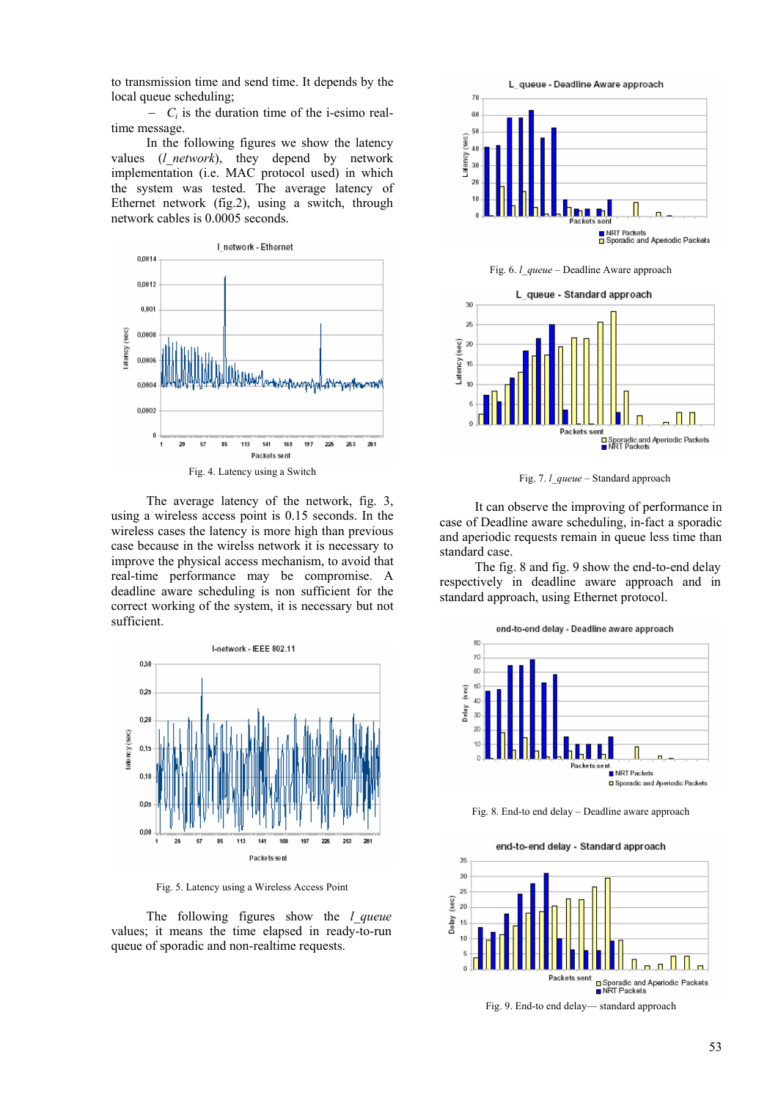to transmission time and send time. It depends by the local queue scheduling;

− *Ci* is the duration time of the i-esimo realtime message.

In the following figures we show the latency values (*l\_network*), they depend by network implementation (i.e. MAC protocol used) in which the system was tested. The average latency of Ethernet network (fig.2), using a switch, through network cables is 0.0005 seconds.



The average latency of the network, fig. 3, using a wireless access point is 0.15 seconds. In the wireless cases the latency is more high than previous case because in the wirelss network it is necessary to improve the physical access mechanism, to avoid that real-time performance may be compromise. A deadline aware scheduling is non sufficient for the correct working of the system, it is necessary but not sufficient.



Fig. 5. Latency using a Wireless Access Point

The following figures show the *l\_queue* values; it means the time elapsed in ready-to-run queue of sporadic and non-realtime requests.



Fig. 6. *l\_queue* – Deadline Aware approach



Fig. 7. *l\_queue* – Standard approach

It can observe the improving of performance in case of Deadline aware scheduling, in-fact a sporadic and aperiodic requests remain in queue less time than standard case.

The fig. 8 and fig. 9 show the end-to-end delay respectively in deadline aware approach and in standard approach, using Ethernet protocol.



Fig. 8. End-to end delay – Deadline aware approach